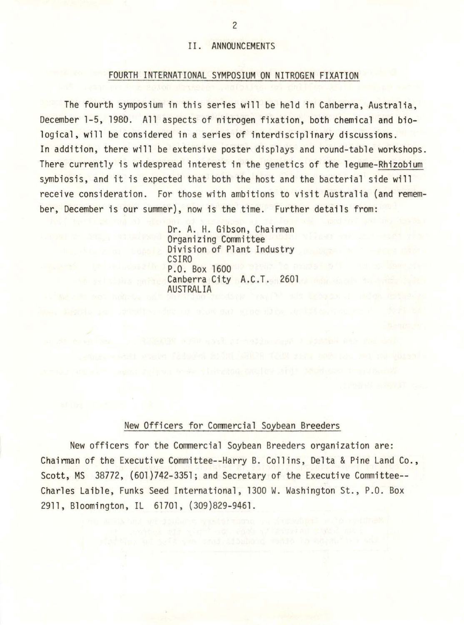# II. ANNOUNCEMENTS

## FOURTH INTERNATIONAL SYMPOSIUM ON NITROGEN FIXATION

The fourth symposium in this series will be held in Canberra, Australia, December 1-5, 1980. All aspects of nitrogen fixation, both chemical and biological, will be considered in a series of interdisciplinary discussions. In addition, there will be extensive poster displays and round-table workshops. There currently is widespread interest in the genetics of the legume-Rhizobium symbiosis, and it is expected that both the host and the bacterial side will receive consideration. For those with ambitions to visit Australia (and remember, December is our summer), now is the time. Further details from:

> Dr. A. H. Gibson, Chairman Organizing Committee Division of Plant Industry<br>CSIRO P.O. Box 1600 30 Basic To assist SAT Canberra City A.C.T. 2601 AUSTRALIA

# New Officers for Commercial Soybean Breeders

New officers for the Commercial Soybean Breeders organization are: Chairman of the Executive Committee--Harry B. Collins, Delta & Pine Land Co., Scott, MS 38772, (601)742-3351; and Secretary of the Executive Committee-- Charles Laible, Funks Seed International, 1300 W. Washington St., P.O. Box 2911, Bloomington, IL 61701, (309)829-9461.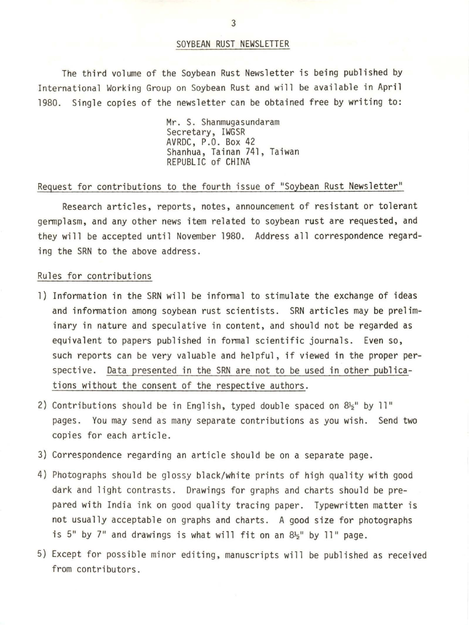## SOYBEAN RUST NEWSLETTER

The third volume of the Soybean Rust Newsletter is being published by International Working Group on Soybean Rust and will be available in April 1980. Single copies of the newsletter can be obtained free by writing to:

> Mr. S. Shanmugasundaram Secretary, IWGSR AVRDC, P.O. Box 42 Shanhua, Tainan 741, Taiwan REPUBLIC of CHINA

### Request for contributions to the fourth issue of "Soybean Rust Newsletter"

Research articles, reports, notes, announcement of resistant or tolerant germplasm, and any other news item related to soybean rust are requested, and they will be accepted until November 1980. Address all correspondence regarding the SRN to the above address.

#### Rules for contributions

- l) Information in the SRN will be informal to stimulate the exchange of ideas and information among soybean rust scientists. SRN articles may be preliminary in nature and speculative in content, and should not be regarded as equivalent to papers published in formal scientific journals. Even so, such reports can be very valuable and helpful, if viewed in the proper perspective. Data presented in the SRN are not to be used in other publications without the consent of the respective authors.
- 2) Contributions should be in English, typed double spaced on  $8\frac{1}{2}$ " by 11" pages. You may send as many separate contributions as you wish. Send two copies for each article.
- 3) Correspondence regarding an article should be on a separate page.
- 4) Photographs should be glossy black/white prints of high quality with good dark and light contrasts. Drawings for graphs and charts should be prepared with India ink on good quality tracing paper. Typewritten matter is not usually acceptable on graphs and charts. A good size for photographs is 5" by 7" and drawings is what will fit on an  $8\frac{1}{2}$ " by 11" page.
- 5) Except for possible minor editing, manuscripts will be published as received from contributors.